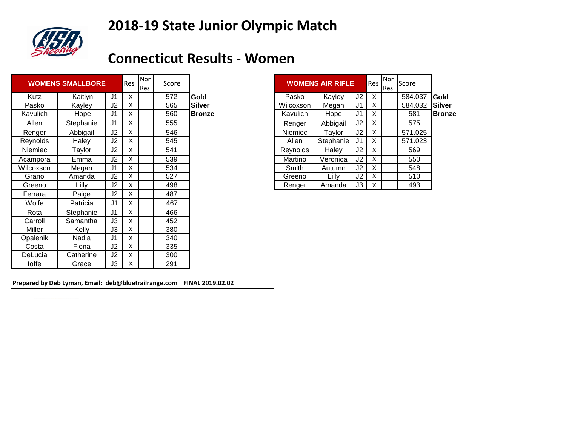# **2018-19 State Junior Olympic Match**



### **Connecticut Results - Women**

|           | <b>WOMENS SMALLBORE</b> |                | Res | Non<br>Res | Score |               | <b>WOMENS AIR RIFLE</b> |           |                | Res | Non<br><b>Res</b> | Score   |               |
|-----------|-------------------------|----------------|-----|------------|-------|---------------|-------------------------|-----------|----------------|-----|-------------------|---------|---------------|
| Kutz      | Kaitlyn                 | J <sub>1</sub> | X   |            | 572   | <b>Gold</b>   | Pasko                   | Kayley    | J <sub>2</sub> | X   |                   | 584.037 | <b>Gold</b>   |
| Pasko     | Kayley                  | J2             | X   |            | 565   | Silver        | Wilcoxson               | Megan     | J <sub>1</sub> | X.  |                   | 584.032 | <b>Silver</b> |
| Kavulich  | Hope                    | J <sub>1</sub> | X   |            | 560   | <b>Bronze</b> | Kavulich                | Hope      | J <sub>1</sub> | X   |                   | 581     | <b>Bronze</b> |
| Allen     | Stephanie               | J <sub>1</sub> | X   |            | 555   |               | Renger                  | Abbigail  | J <sub>2</sub> | X   |                   | 575     |               |
| Renger    | Abbigail                | J2             | X   |            | 546   |               | <b>Niemiec</b>          | Taylor    | J <sub>2</sub> | X   |                   | 571.025 |               |
| Reynolds  | Haley                   | J2             | X   |            | 545   |               | Allen                   | Stephanie | J <sub>1</sub> | X   |                   | 571.023 |               |
| Niemiec   | Taylor                  | J2             | X   |            | 541   |               | Reynolds                | Haley     | J <sub>2</sub> | X   |                   | 569     |               |
| Acampora  | Emma                    | J2             | X   |            | 539   |               | Martino                 | Veronica  | J2             | X.  |                   | 550     |               |
| Wilcoxson | Megan                   | J <sub>1</sub> | X   |            | 534   |               | Smith                   | Autumn    | J <sub>2</sub> | X   |                   | 548     |               |
| Grano     | Amanda                  | J <sub>2</sub> | X   |            | 527   |               | Greeno                  | Lilly     | J2             | X   |                   | 510     |               |
| Greeno    | Lilly                   | J2             | X   |            | 498   |               | Renger                  | Amanda    | J3             | X   |                   | 493     |               |
| Ferrara   | Paige                   | J <sub>2</sub> | X   |            | 487   |               |                         |           |                |     |                   |         |               |
| Wolfe     | Patricia                | J <sub>1</sub> | X   |            | 467   |               |                         |           |                |     |                   |         |               |
| Rota      | Stephanie               | J <sub>1</sub> | X   |            | 466   |               |                         |           |                |     |                   |         |               |
| Carroll   | Samantha                | J3             | X   |            | 452   |               |                         |           |                |     |                   |         |               |
| Miller    | Kelly                   | J3             | X   |            | 380   |               |                         |           |                |     |                   |         |               |
| Opalenik  | Nadia                   | J <sub>1</sub> | X   |            | 340   |               |                         |           |                |     |                   |         |               |
| Costa     | Fiona                   | J <sub>2</sub> | X   |            | 335   |               |                         |           |                |     |                   |         |               |
| DeLucia   | Catherine               | J2             | X   |            | 300   |               |                         |           |                |     |                   |         |               |
| loffe     | Grace                   | J3             | X   |            | 291   |               |                         |           |                |     |                   |         |               |

| <b>Non</b><br>Res | Score |               |           | <b>WOMENS AIR RIFLE</b> |                | Res | <b>Non</b><br><b>Res</b> | Score   |               |
|-------------------|-------|---------------|-----------|-------------------------|----------------|-----|--------------------------|---------|---------------|
|                   | 572   | Gold          | Pasko     | Kayley                  | J <sub>2</sub> | X   |                          | 584.037 | <b>IGold</b>  |
|                   | 565   | <b>Silver</b> | Wilcoxson | Megan                   | J1             | X   |                          | 584.032 | Silver        |
|                   | 560   | <b>Bronze</b> | Kavulich  | Hope                    | J1             | X   |                          | 581     | <b>Bronze</b> |
|                   | 555   |               | Renger    | Abbigail                | J2             | X   |                          | 575     |               |
|                   | 546   |               | Niemiec   | Taylor                  | J <sub>2</sub> | X   |                          | 571.025 |               |
|                   | 545   |               | Allen     | Stephanie               | J1             | X   |                          | 571.023 |               |
|                   | 541   |               | Reynolds  | Haley                   | J <sub>2</sub> | X   |                          | 569     |               |
|                   | 539   |               | Martino   | Veronica                | J2             | X   |                          | 550     |               |
|                   | 534   |               | Smith     | Autumn                  | J2             | X   |                          | 548     |               |
|                   | 527   |               | Greeno    | Lilly                   | J2             | X   |                          | 510     |               |
|                   | 498   |               | Renger    | Amanda                  | JЗ             | X   |                          | 493     |               |

**Prepared by Deb Lyman, Email: deb@bluetrailrange.com FINAL 2019.02.02**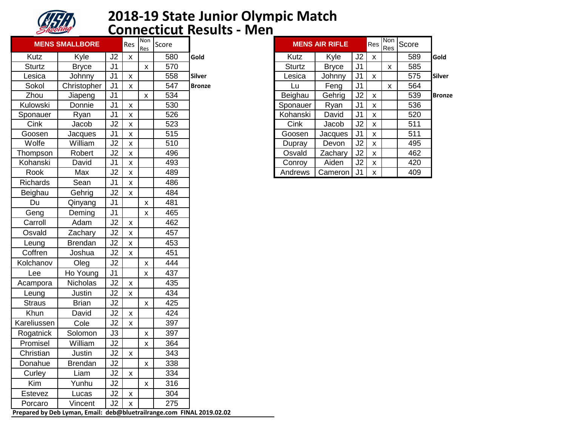

#### **2018-19 State Junior Olympic Match Connecticut Results - Men**

|               | <b>MENS SMALLBORE</b>                                                 |                | Res                | Non<br>Res         | Score |               |          | <b>MENS AIR RIFLE</b> |                | Res                | Non<br>Res         | Score |               |
|---------------|-----------------------------------------------------------------------|----------------|--------------------|--------------------|-------|---------------|----------|-----------------------|----------------|--------------------|--------------------|-------|---------------|
| Kutz          | Kyle                                                                  | J <sub>2</sub> | $\mathsf{x}$       |                    | 580   | Gold          | Kutz     | Kyle                  | J2             | $\pmb{\mathsf{X}}$ |                    | 589   | Gold          |
| <b>Sturtz</b> | <b>Bryce</b>                                                          | J <sub>1</sub> |                    | $\pmb{\mathsf{X}}$ | 570   |               | Sturtz   | <b>Bryce</b>          | J <sub>1</sub> |                    | $\pmb{\mathsf{x}}$ | 585   |               |
| Lesica        | Johnny                                                                | J <sub>1</sub> | $\pmb{\mathsf{X}}$ |                    | 558   | <b>Silver</b> | Lesica   | Johnny                | J <sub>1</sub> | $\pmb{\mathsf{x}}$ |                    | 575   | <b>Silver</b> |
| Sokol         | Christopher                                                           | J <sub>1</sub> | $\pmb{\mathsf{X}}$ |                    | 547   | <b>Bronze</b> | Lu       | Feng                  | J <sub>1</sub> |                    | $\pmb{\mathsf{X}}$ | 564   |               |
| Zhou          | Jiapeng                                                               | J <sub>1</sub> |                    | $\pmb{\mathsf{X}}$ | 534   |               | Beighau  | Gehrig                | J2             | $\pmb{\mathsf{x}}$ |                    | 539   | <b>Bronze</b> |
| Kulowski      | Donnie                                                                | J <sub>1</sub> | $\pmb{\mathsf{X}}$ |                    | 530   |               | Sponauer | Ryan                  | J <sub>1</sub> | $\pmb{\mathsf{X}}$ |                    | 536   |               |
| Sponauer      | Ryan                                                                  | J <sub>1</sub> | $\pmb{\mathsf{X}}$ |                    | 526   |               | Kohanski | David                 | J <sub>1</sub> | $\pmb{\mathsf{x}}$ |                    | 520   |               |
| Cink          | Jacob                                                                 | J2             | $\pmb{\mathsf{X}}$ |                    | 523   |               | Cink     | Jacob                 | J2             | $\pmb{\mathsf{x}}$ |                    | 511   |               |
| Goosen        | Jacques                                                               | J <sub>1</sub> | $\pmb{\mathsf{x}}$ |                    | 515   |               | Goosen   | Jacques               | J <sub>1</sub> | $\pmb{\mathsf{x}}$ |                    | 511   |               |
| Wolfe         | William                                                               | J2             | $\pmb{\mathsf{x}}$ |                    | 510   |               | Dupray   | Devon                 | J2             | $\pmb{\mathsf{X}}$ |                    | 495   |               |
| Thompson      | Robert                                                                | J2             | $\pmb{\mathsf{x}}$ |                    | 496   |               | Osvald   | Zachary               | J2             | $\pmb{\mathsf{X}}$ |                    | 462   |               |
| Kohanski      | David                                                                 | J <sub>1</sub> | $\pmb{\mathsf{X}}$ |                    | 493   |               | Conroy   | Aiden                 | J2             | $\pmb{\mathsf{X}}$ |                    | 420   |               |
| Rook          | Max                                                                   | J2             | $\pmb{\mathsf{x}}$ |                    | 489   |               | Andrews  | Cameron               | J <sub>1</sub> | $\pmb{\mathsf{X}}$ |                    | 409   |               |
| Richards      | Sean                                                                  | J <sub>1</sub> | $\pmb{\mathsf{x}}$ |                    | 486   |               |          |                       |                |                    |                    |       |               |
| Beighau       | Gehrig                                                                | J2             | $\pmb{\mathsf{X}}$ |                    | 484   |               |          |                       |                |                    |                    |       |               |
| Du            | Qinyang                                                               | J <sub>1</sub> |                    | $\mathsf{X}$       | 481   |               |          |                       |                |                    |                    |       |               |
| Geng          | Deming                                                                | J <sub>1</sub> |                    | X                  | 465   |               |          |                       |                |                    |                    |       |               |
| Carroll       | Adam                                                                  | J2             | $\pmb{\mathsf{X}}$ |                    | 462   |               |          |                       |                |                    |                    |       |               |
| Osvald        | Zachary                                                               | J2             | $\pmb{\mathsf{X}}$ |                    | 457   |               |          |                       |                |                    |                    |       |               |
| Leung         | <b>Brendan</b>                                                        | J2             | $\pmb{\times}$     |                    | 453   |               |          |                       |                |                    |                    |       |               |
| Coffren       | Joshua                                                                | J2             | $\mathsf{x}$       |                    | 451   |               |          |                       |                |                    |                    |       |               |
| Kolchanov     | Oleg                                                                  | J2             |                    | $\pmb{\mathsf{X}}$ | 444   |               |          |                       |                |                    |                    |       |               |
| Lee           | Ho Young                                                              | J <sub>1</sub> |                    | X                  | 437   |               |          |                       |                |                    |                    |       |               |
| Acampora      | Nicholas                                                              | J2             | X                  |                    | 435   |               |          |                       |                |                    |                    |       |               |
| Leung         | Justin                                                                | J2             | $\pmb{\mathsf{X}}$ |                    | 434   |               |          |                       |                |                    |                    |       |               |
| <b>Straus</b> | <b>Brian</b>                                                          | J2             |                    | X                  | 425   |               |          |                       |                |                    |                    |       |               |
| Khun          | David                                                                 | J2             | X                  |                    | 424   |               |          |                       |                |                    |                    |       |               |
| Kareliussen   | Cole                                                                  | J2             | $\pmb{\mathsf{x}}$ |                    | 397   |               |          |                       |                |                    |                    |       |               |
| Rogatnick     | Solomon                                                               | J3             |                    | X                  | 397   |               |          |                       |                |                    |                    |       |               |
| Promisel      | William                                                               | J2             |                    | X                  | 364   |               |          |                       |                |                    |                    |       |               |
| Christian     | Justin                                                                | J2             | $\mathsf{X}$       |                    | 343   |               |          |                       |                |                    |                    |       |               |
| Donahue       | <b>Brendan</b>                                                        | J2             |                    | X                  | 338   |               |          |                       |                |                    |                    |       |               |
| Curley        | Liam                                                                  | J2             | $\mathsf{x}$       |                    | 334   |               |          |                       |                |                    |                    |       |               |
| Kim           | Yunhu                                                                 | J2             |                    | X                  | 316   |               |          |                       |                |                    |                    |       |               |
| Estevez       | Lucas                                                                 | J2             | X                  |                    | 304   |               |          |                       |                |                    |                    |       |               |
| Porcaro       | Vincent                                                               | J2             | X                  |                    | 275   |               |          |                       |                |                    |                    |       |               |
|               | Prepared by Deb Lyman, Email: deb@bluetrailrange.com FINAL 2019.02.02 |                |                    |                    |       |               |          |                       |                |                    |                    |       |               |

| Non<br>Res | Score |               |          | <b>MENS AIR RIFLE</b> |                | <b>Res</b> | <b>Non</b><br>Res | Score |               |
|------------|-------|---------------|----------|-----------------------|----------------|------------|-------------------|-------|---------------|
|            | 580   | Gold          | Kutz     | Kyle                  | J2             | X          |                   | 589   | Gold          |
| X          | 570   |               | Sturtz   | <b>Bryce</b>          | J1             |            | X                 | 585   |               |
|            | 558   | <b>Silver</b> | Lesica   | Johnny                | J1             | X          |                   | 575   | <b>Silver</b> |
|            | 547   | <b>Bronze</b> | Lu       | Feng                  | J1             |            | X                 | 564   |               |
| X          | 534   |               | Beighau  | Gehrig                | J <sub>2</sub> | X          |                   | 539   | <b>Bronze</b> |
|            | 530   |               | Sponauer | Ryan                  | J <sub>1</sub> | X          |                   | 536   |               |
|            | 526   |               | Kohanski | David                 | J <sub>1</sub> | X          |                   | 520   |               |
|            | 523   |               | Cink     | Jacob                 | J2             | X          |                   | 511   |               |
|            | 515   |               | Goosen   | Jacques               | J <sub>1</sub> | X          |                   | 511   |               |
|            | 510   |               | Dupray   | Devon                 | J2             | X          |                   | 495   |               |
|            | 496   |               | Osvald   | Zachary               | J2             | X          |                   | 462   |               |
|            | 493   |               | Conroy   | Aiden                 | J2             | X          |                   | 420   |               |
|            | 489   |               | Andrews  | Cameron               | J <sub>1</sub> | X          |                   | 409   |               |
|            |       |               |          |                       |                |            |                   |       |               |